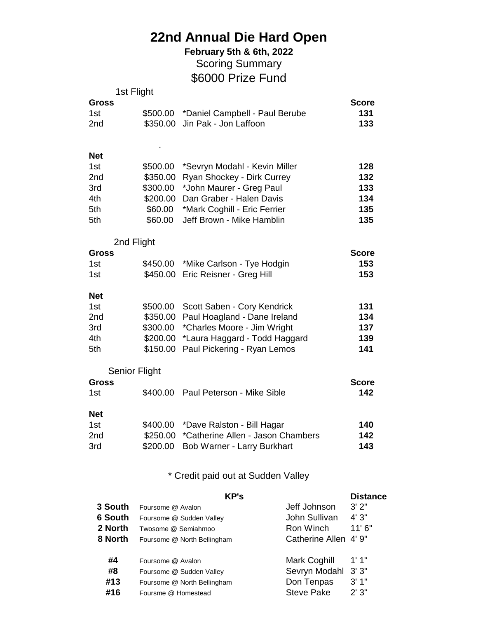## **22nd Annual Die Hard Open**

\$6000 Prize Fund **February 5th & 6th, 2022** Scoring Summary

|                     | 1st Flight           |                                     |              |
|---------------------|----------------------|-------------------------------------|--------------|
| <b>Gross</b>        |                      |                                     | <b>Score</b> |
| 1st                 | \$500.00             | *Daniel Campbell - Paul Berube      | 131          |
| 2nd                 | \$350.00             | Jin Pak - Jon Laffoon               | 133          |
|                     |                      |                                     |              |
| <b>Net</b>          |                      |                                     |              |
| 1st                 | \$500.00             | *Sevryn Modahl - Kevin Miller       | 128          |
| 2nd                 | \$350.00             | Ryan Shockey - Dirk Currey          | 132          |
| 3rd                 | \$300.00             | *John Maurer - Greg Paul            | 133          |
| 4th                 | \$200.00             | Dan Graber - Halen Davis            | 134          |
| 5th                 | \$60.00              | *Mark Coghill - Eric Ferrier        | 135          |
| 5th                 | \$60.00              | Jeff Brown - Mike Hamblin           | 135          |
|                     |                      |                                     |              |
|                     | 2nd Flight           |                                     |              |
| Gross               |                      |                                     | <b>Score</b> |
| 1st                 |                      | \$450.00 *Mike Carlson - Tye Hodgin | 153          |
| 1st                 | \$450.00             | Eric Reisner - Greg Hill            | 153          |
| <b>Net</b>          |                      |                                     |              |
| 1st                 | \$500.00             | Scott Saben - Cory Kendrick         | 131          |
| 2nd                 | \$350.00             | Paul Hoagland - Dane Ireland        | 134          |
| 3rd                 | \$300.00             | *Charles Moore - Jim Wright         | 137          |
| 4th                 | \$200.00             | *Laura Haggard - Todd Haggard       | 139          |
| 5th                 | \$150.00             | Paul Pickering - Ryan Lemos         | 141          |
|                     |                      |                                     |              |
|                     | <b>Senior Flight</b> |                                     | <b>Score</b> |
| <b>Gross</b><br>1st | \$400.00             | Paul Peterson - Mike Sible          | 142          |
|                     |                      |                                     |              |
| <b>Net</b>          |                      |                                     |              |
| 1st                 | \$400.00             | *Dave Ralston - Bill Hagar          | 140          |
| 2nd                 | \$250.00             | *Catherine Allen - Jason Chambers   | 142          |
| 3rd                 | \$200.00             | <b>Bob Warner - Larry Burkhart</b>  | 143          |
|                     |                      |                                     |              |

\* Credit paid out at Sudden Valley

|                | <b>KP's</b>                 |                       | <b>Distance</b> |
|----------------|-----------------------------|-----------------------|-----------------|
| 3 South        | Foursome @ Avalon           | Jeff Johnson          | 3'2"            |
| <b>6 South</b> | Foursome @ Sudden Valley    | John Sullivan         | 4'3''           |
| 2 North        | Twosome @ Semiahmoo         | Ron Winch             | 11'6''          |
| 8 North        | Foursome @ North Bellingham | Catherine Allen 4' 9" |                 |
| #4             | Foursome @ Avalon           | Mark Coghill          | 1'1''           |
| #8             | Foursome @ Sudden Valley    | Sevryn Modahl         | 3'3''           |
| #13            | Foursome @ North Bellingham | Don Tenpas            | 3'1''           |
| #16            | Foursme @ Homestead         | <b>Steve Pake</b>     | 2'3''           |